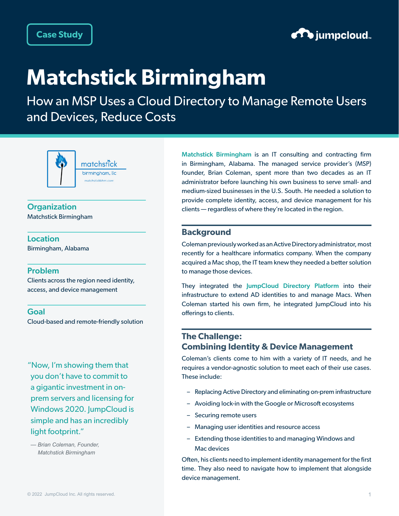

# **Matchstick Birmingham**

How an MSP Uses a Cloud Directory to Manage Remote Users and Devices, Reduce Costs



**Organization** Matchstick Birmingham

Location Birmingham, Alabama

## Problem

Clients across the region need identity, access, and device management

### Goal

Cloud-based and remote-friendly solution

"Now, I'm showing them that you don't have to commit to a gigantic investment in onprem servers and licensing for Windows 2020. JumpCloud is simple and has an incredibly light footprint."

*— Brian Coleman, Founder, Matchstick Birmingham*

[Matchstick Birmingham](https://www.linkedin.com/company/matchstick-bhm-llc/about/) is an IT consulting and contracting firm in Birmingham, Alabama. The managed service provider's (MSP) founder, Brian Coleman, spent more than two decades as an IT administrator before launching his own business to serve small- and medium-sized businesses in the U.S. South. He needed a solution to provide complete identity, access, and device management for his clients — regardless of where they're located in the region.

## **Background**

Coleman previously worked as an Active Directory administrator, most recently for a healthcare informatics company. When the company acquired a Mac shop, the IT team knew they needed a better solution to manage those devices.

They integrated the [JumpCloud Directory Platform](https://jumpcloud.com/platform) into their infrastructure to extend AD identities to and manage Macs. When Coleman started his own firm, he integrated JumpCloud into his offerings to clients.

# **The Challenge: Combining Identity & Device Management**

Coleman's clients come to him with a variety of IT needs, and he requires a vendor-agnostic solution to meet each of their use cases. These include:

- Replacing Active Directory and eliminating on-prem infrastructure
- Avoiding lock-in with the Google or Microsoft ecosystems
- Securing remote users
- Managing user identities and resource access
- Extending those identities to and managing Windows and Mac devices

Often, his clients need to implement identity management for the first time. They also need to navigate how to implement that alongside device management.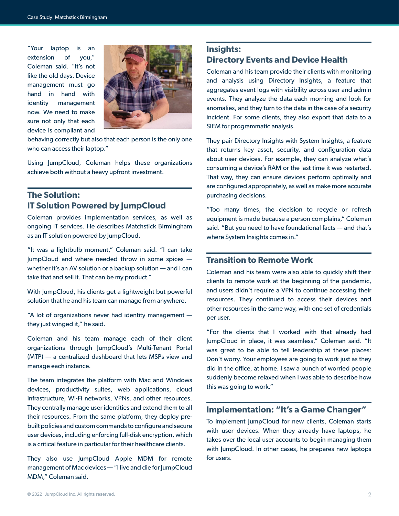"Your laptop is an extension of you," Coleman said. "It's not like the old days. Device management must go hand in hand with identity management now. We need to make sure not only that each device is compliant and



behaving correctly but also that each person is the only one who can access their laptop."

Using JumpCloud, Coleman helps these organizations achieve both without a heavy upfront investment.

# **The Solution: IT Solution Powered by JumpCloud**

Coleman provides implementation services, as well as ongoing IT services. He describes Matchstick Birmingham as an IT solution powered by JumpCloud.

"It was a lightbulb moment," Coleman said. "I can take JumpCloud and where needed throw in some spices whether it's an AV solution or a backup solution — and I can take that and sell it. That can be my product."

With JumpCloud, his clients get a lightweight but powerful solution that he and his team can manage from anywhere.

"A lot of organizations never had identity management they just winged it," he said.

Coleman and his team manage each of their client organizations through JumpCloud's Multi-Tenant Portal (MTP) — a centralized dashboard that lets MSPs view and manage each instance.

The team integrates the platform with Mac and Windows devices, productivity suites, web applications, cloud infrastructure, Wi-Fi networks, VPNs, and other resources. They centrally manage user identities and extend them to all their resources. From the same platform, they deploy prebuilt policies and custom commands to configure and secure user devices, including enforcing full-disk encryption, which is a critical feature in particular for their healthcare clients.

They also use JumpCloud Apple MDM for remote management of Mac devices — "I live and die for JumpCloud MDM," Coleman said.

# **Insights: Directory Events and Device Health**

Coleman and his team provide their clients with monitoring and analysis using Directory Insights, a feature that aggregates event logs with visibility across user and admin events. They analyze the data each morning and look for anomalies, and they turn to the data in the case of a security incident. For some clients, they also export that data to a SIEM for programmatic analysis.

They pair Directory Insights with System Insights, a feature that returns key asset, security, and configuration data about user devices. For example, they can analyze what's consuming a device's RAM or the last time it was restarted. That way, they can ensure devices perform optimally and are configured appropriately, as well as make more accurate purchasing decisions.

"Too many times, the decision to recycle or refresh equipment is made because a person complains," Coleman said. "But you need to have foundational facts — and that's where System Insights comes in."

# **Transition to Remote Work**

Coleman and his team were also able to quickly shift their clients to remote work at the beginning of the pandemic, and users didn't require a VPN to continue accessing their resources. They continued to access their devices and other resources in the same way, with one set of credentials per user.

"For the clients that I worked with that already had JumpCloud in place, it was seamless," Coleman said. "It was great to be able to tell leadership at these places: Don't worry. Your employees are going to work just as they did in the office, at home. I saw a bunch of worried people suddenly become relaxed when I was able to describe how this was going to work."

## **Implementation: "It's a Game Changer"**

To implement JumpCloud for new clients, Coleman starts with user devices. When they already have laptops, he takes over the local user accounts to begin managing them with JumpCloud. In other cases, he prepares new laptops for users.